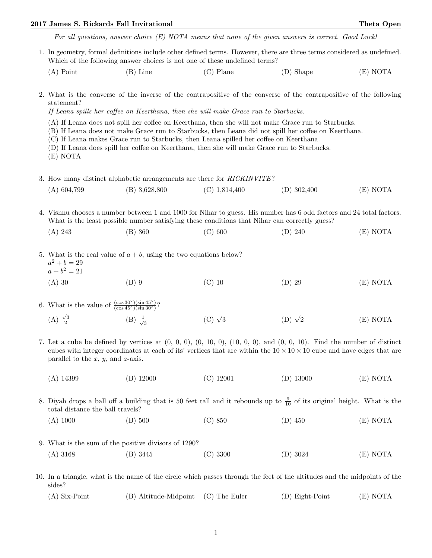## 2017 James S. Rickards Fall Invitational Theta Open

For all questions, answer choice (E) NOTA means that none of the given answers is correct. Good Luck!

- 1. In geometry, formal definitions include other defined terms. However, there are three terms considered as undefined. Which of the following answer choices is not one of these undefined terms?
	- (A) Point (B) Line (C) Plane (D) Shape (E) NOTA
- 2. What is the converse of the inverse of the contrapositive of the converse of the contrapositive of the following statement?
	- If Leana spills her coffee on Keerthana, then she will make Grace run to Starbucks.
	- (A) If Leana does not spill her coffee on Keerthana, then she will not make Grace run to Starbucks.
	- (B) If Leana does not make Grace run to Starbucks, then Leana did not spill her coffee on Keerthana.
	- (C) If Leana makes Grace run to Starbucks, then Leana spilled her coffee on Keerthana.
	- (D) If Leana does spill her coffee on Keerthana, then she will make Grace run to Starbucks.
	- (E) NOTA
- 3. How many distinct alphabetic arrangements are there for RICKINVITE?
	- (A) 604,799 (B) 3,628,800 (C) 1,814,400 (D) 302,400 (E) NOTA

4. Vishnu chooses a number between 1 and 1000 for Nihar to guess. His number has 6 odd factors and 24 total factors. What is the least possible number satisfying these conditions that Nihar can correctly guess?

(A) 243 (B) 360 (C) 600 (D) 240 (E) NOTA

5. What is the real value of  $a + b$ , using the two equations below?  $a^2 + b = 29$  $a + b^2 = 21$ (A) 30 (B) 9 (C) 10 (D) 29 (E) NOTA

- 6. What is the value of  $\frac{(\cos 30°)(\sin 45°)}{(\cos 45°)(\sin 30°)}$ ?  $(A) \frac{\sqrt{3}}{2}$  $(B) \frac{1}{4}$ 3  $(C)$   $\sqrt{3}$ (D)  $\sqrt{2}$  $(E) NOTA$
- 7. Let a cube be defined by vertices at  $(0, 0, 0), (0, 10, 0), (10, 0, 0),$  and  $(0, 0, 10)$ . Find the number of distinct cubes with integer coordinates at each of its' vertices that are within the  $10 \times 10 \times 10$  cube and have edges that are parallel to the  $x, y$ , and  $z$ -axis.
	- (A) 14399 (B) 12000 (C) 12001 (D) 13000 (E) NOTA

8. Diyah drops a ball off a building that is 50 feet tall and it rebounds up to  $\frac{9}{10}$  of its original height. What is the total distance the ball travels?

- (A) 1000 (B) 500 (C) 850 (D) 450 (E) NOTA
- 9. What is the sum of the positive divisors of 1290? (A) 3168 (B) 3445 (C) 3300 (D) 3024 (E) NOTA
- 10. In a triangle, what is the name of the circle which passes through the feet of the altitudes and the midpoints of the sides?
	- (A) Six-Point (B) Altitude-Midpoint (C) The Euler (D) Eight-Point (E) NOTA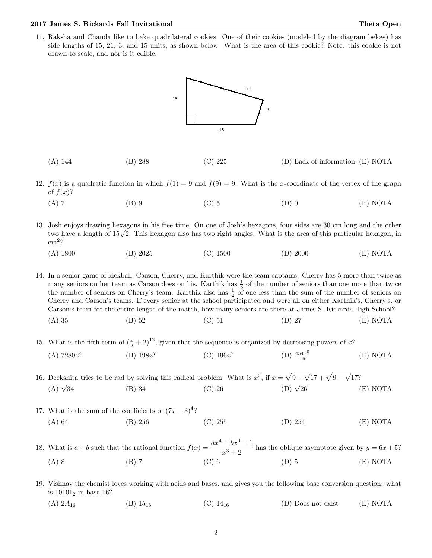## 2017 James S. Rickards Fall Invitational Theta Open

11. Raksha and Chanda like to bake quadrilateral cookies. One of their cookies (modeled by the diagram below) has side lengths of 15, 21, 3, and 15 units, as shown below. What is the area of this cookie? Note: this cookie is not drawn to scale, and nor is it edible.



- (A) 144 (B) 288 (C) 225 (D) Lack of information. (E) NOTA
- 12.  $f(x)$  is a quadratic function in which  $f(1) = 9$  and  $f(9) = 9$ . What is the x-coordinate of the vertex of the graph of  $f(x)$ ?
	- (A) 7 (B) 9 (C) 5 (D) 0 (E) NOTA
- 13. Josh enjoys drawing hexagons in his free time. On one of Josh's hexagons, four sides are 30 cm long and the other Josn enjoys arawing nexagons in his free time. On one of Josn's nexagons, four sides are 30 cm long and the other<br>two have a length of 15√2. This hexagon also has two right angles. What is the area of this particular hexa cm<sup>2</sup> ?
	- (A) 1800 (B) 2025 (C) 1500 (D) 2000 (E) NOTA

14. In a senior game of kickball, Carson, Cherry, and Karthik were the team captains. Cherry has 5 more than twice as many seniors on her team as Carson does on his. Karthik has  $\frac{1}{3}$  of the number of seniors than one more than twice the number of seniors on Cherry's team. Karthik also has  $\frac{1}{2}$  of one less than the sum of the number of seniors on Cherry and Carson's teams. If every senior at the school participated and were all on either Karthik's, Cherry's, or Carson's team for the entire length of the match, how many seniors are there at James S. Rickards High School? (A) 35 (B) 52 (C) 51 (D) 27 (E) NOTA

15. What is the fifth term of  $(\frac{x}{2} + 2)^{12}$ , given that the sequence is organized by decreasing powers of x?  $(A) 7280x<sup>4</sup>$  $(B) 198x^7$  $(C) 196x^7$  $(D) \frac{454x^8}{16}$  $(E) NOTA$ 

16. Deekshita tries to be rad by solving this radical problem: What is  $x^2$ , if  $x = \sqrt{9 + \sqrt{17}} + \sqrt{9 - \sqrt{17}}$  $<sup>′</sup>$ </sup> hita tries to be rad by solving this radical problem: What is  $x^2$ , if  $x = \sqrt{9} + \sqrt{17} + \sqrt{9} - \sqrt{17}$ ?<br>
(B) 34 (C) 26 (D)  $\sqrt{26}$  (C)  $(A)$   $\sqrt{34}$  $(D)$   $\sqrt{26}$  (E) NOTA

- 17. What is the sum of the coefficients of  $(7x-3)^4$ ? (A) 64 (B) 256 (C) 255 (D) 254 (E) NOTA
- 18. What is  $a + b$  such that the rational function  $f(x) = \frac{ax^4 + bx^3 + 1}{x^3 + 2}$  has the oblique asymptote given by  $y = 6x + 5$ ? (A) 8 (B) 7 (C) 6 (D) 5 (E) NOTA
- 19. Vishnav the chemist loves working with acids and bases, and gives you the following base conversion question: what is  $10101_2$  in base 16?
	- (A)  $2A_{16}$  (B)  $15_{16}$  (C)  $14_{16}$  (D) Does not exist (E) NOTA